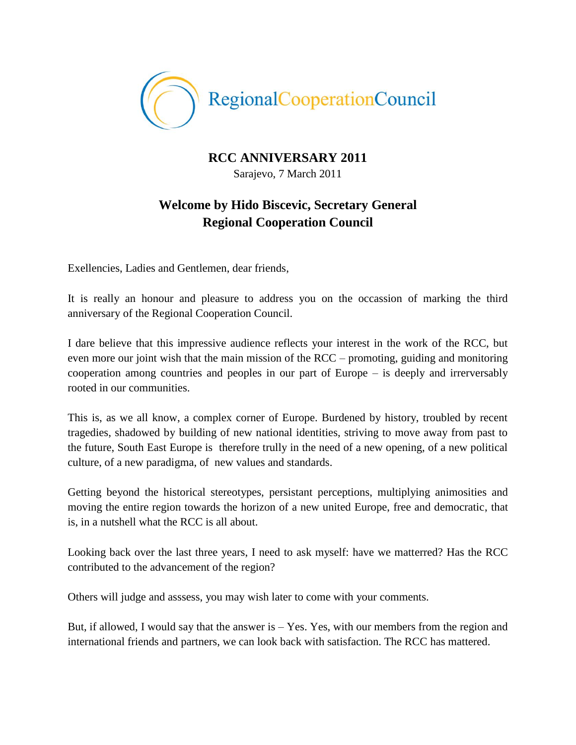

## **RCC ANNIVERSARY 2011**

Sarajevo, 7 March 2011

## **Welcome by Hido Biscevic, Secretary General Regional Cooperation Council**

Exellencies, Ladies and Gentlemen, dear friends,

It is really an honour and pleasure to address you on the occassion of marking the third anniversary of the Regional Cooperation Council.

I dare believe that this impressive audience reflects your interest in the work of the RCC, but even more our joint wish that the main mission of the RCC – promoting, guiding and monitoring cooperation among countries and peoples in our part of Europe – is deeply and irrerversably rooted in our communities.

This is, as we all know, a complex corner of Europe. Burdened by history, troubled by recent tragedies, shadowed by building of new national identities, striving to move away from past to the future, South East Europe is therefore trully in the need of a new opening, of a new political culture, of a new paradigma, of new values and standards.

Getting beyond the historical stereotypes, persistant perceptions, multiplying animosities and moving the entire region towards the horizon of a new united Europe, free and democratic, that is, in a nutshell what the RCC is all about.

Looking back over the last three years, I need to ask myself: have we matterred? Has the RCC contributed to the advancement of the region?

Others will judge and asssess, you may wish later to come with your comments.

But, if allowed, I would say that the answer is  $-$  Yes. Yes, with our members from the region and international friends and partners, we can look back with satisfaction. The RCC has mattered.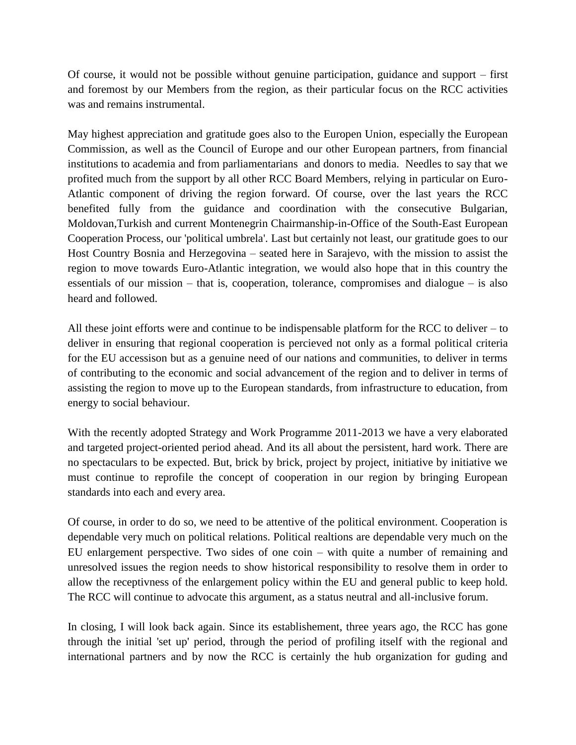Of course, it would not be possible without genuine participation, guidance and support – first and foremost by our Members from the region, as their particular focus on the RCC activities was and remains instrumental.

May highest appreciation and gratitude goes also to the Europen Union, especially the European Commission, as well as the Council of Europe and our other European partners, from financial institutions to academia and from parliamentarians and donors to media. Needles to say that we profited much from the support by all other RCC Board Members, relying in particular on Euro-Atlantic component of driving the region forward. Of course, over the last years the RCC benefited fully from the guidance and coordination with the consecutive Bulgarian, Moldovan,Turkish and current Montenegrin Chairmanship-in-Office of the South-East European Cooperation Process, our 'political umbrela'. Last but certainly not least, our gratitude goes to our Host Country Bosnia and Herzegovina – seated here in Sarajevo, with the mission to assist the region to move towards Euro-Atlantic integration, we would also hope that in this country the essentials of our mission – that is, cooperation, tolerance, compromises and dialogue – is also heard and followed.

All these joint efforts were and continue to be indispensable platform for the RCC to deliver – to deliver in ensuring that regional cooperation is percieved not only as a formal political criteria for the EU accessison but as a genuine need of our nations and communities, to deliver in terms of contributing to the economic and social advancement of the region and to deliver in terms of assisting the region to move up to the European standards, from infrastructure to education, from energy to social behaviour.

With the recently adopted Strategy and Work Programme 2011-2013 we have a very elaborated and targeted project-oriented period ahead. And its all about the persistent, hard work. There are no spectaculars to be expected. But, brick by brick, project by project, initiative by initiative we must continue to reprofile the concept of cooperation in our region by bringing European standards into each and every area.

Of course, in order to do so, we need to be attentive of the political environment. Cooperation is dependable very much on political relations. Political realtions are dependable very much on the EU enlargement perspective. Two sides of one coin – with quite a number of remaining and unresolved issues the region needs to show historical responsibility to resolve them in order to allow the receptivness of the enlargement policy within the EU and general public to keep hold. The RCC will continue to advocate this argument, as a status neutral and all-inclusive forum.

In closing, I will look back again. Since its establishement, three years ago, the RCC has gone through the initial 'set up' period, through the period of profiling itself with the regional and international partners and by now the RCC is certainly the hub organization for guding and